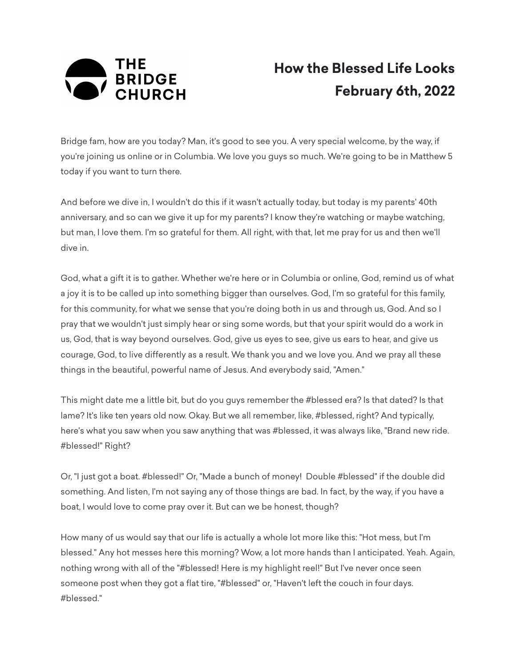

## **How the Blessed Life Looks February 6th, 2022**

Bridge fam, how are you today? Man, it's good to see you. A very special welcome, by the way, if you're joining us online or in Columbia. We love you guys so much. We're going to be in Matthew 5 today if you want to turn there.

And before we dive in, I wouldn't do this if it wasn't actually today, but today is my parents' 40th anniversary, and so can we give it up for my parents? I know they're watching or maybe watching, but man, I love them. I'm so grateful for them. All right, with that, let me pray for us and then we'll dive in.

God, what a gift it is to gather. Whether we're here or in Columbia or online, God, remind us of what a joy it is to be called up into something bigger than ourselves. God, I'm so grateful for this family, for this community, for what we sense that you're doing both in us and through us, God. And so I pray that we wouldn't just simply hear or sing some words, but that your spirit would do a work in us, God, that is way beyond ourselves. God, give us eyes to see, give us ears to hear, and give us courage, God, to live differently as a result. We thank you and we love you. And we pray all these things in the beautiful, powerful name of Jesus. And everybody said, "Amen."

This might date me a little bit, but do you guys remember the #blessed era? Is that dated? Is that lame? It's like ten years old now. Okay. But we all remember, like, #blessed, right? And typically, here's what you saw when you saw anything that was #blessed, it was always like, "Brand new ride. #blessed!" Right?

Or, "I just got a boat. #blessed!" Or, "Made a bunch of money! Double #blessed" if the double did something. And listen, I'm not saying any of those things are bad. In fact, by the way, if you have a boat, I would love to come pray over it. But can we be honest, though?

How many of us would say that our life is actually a whole lot more like this: "Hot mess, but I'm blessed." Any hot messes here this morning? Wow, a lot more hands than I anticipated. Yeah. Again, nothing wrong with all of the "#blessed! Here is my highlight reel!" But I've never once seen someone post when they got a flat tire, "#blessed" or, "Haven't left the couch in four days. #blessed."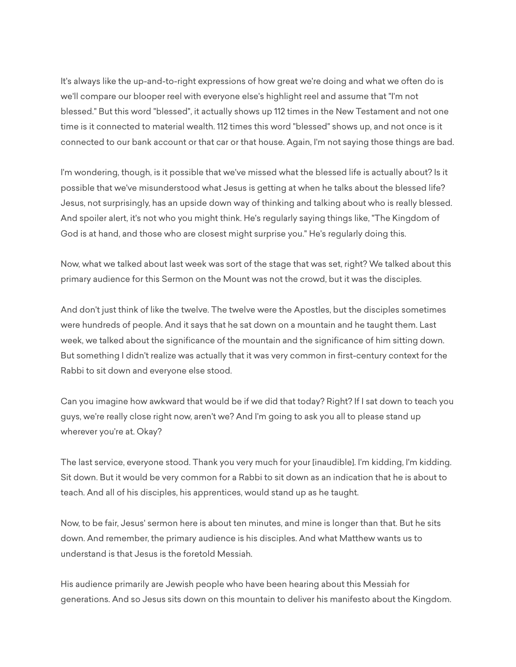It's always like the up-and-to-right expressions of how great we're doing and what we often do is we'll compare our blooper reel with everyone else's highlight reel and assume that "I'm not blessed." But this word "blessed", it actually shows up 112 times in the New Testament and not one time is it connected to material wealth. 112 times this word "blessed" shows up, and not once is it connected to our bank account or that car or that house. Again, I'm not saying those things are bad.

I'm wondering, though, is it possible that we've missed what the blessed life is actually about? Is it possible that we've misunderstood what Jesus is getting at when he talks about the blessed life? Jesus, not surprisingly, has an upside down way of thinking and talking about who is really blessed. And spoiler alert, it's not who you might think. He's regularly saying things like, "The Kingdom of God is at hand, and those who are closest might surprise you." He's regularly doing this.

Now, what we talked about last week was sort of the stage that was set, right? We talked about this primary audience for this Sermon on the Mount was not the crowd, but it was the disciples.

And don't just think of like the twelve. The twelve were the Apostles, but the disciples sometimes were hundreds of people. And it says that he sat down on a mountain and he taught them. Last week, we talked about the significance of the mountain and the significance of him sitting down. But something I didn't realize was actually that it was very common in first-century context for the Rabbi to sit down and everyone else stood.

Can you imagine how awkward that would be if we did that today? Right? If I sat down to teach you guys, we're really close right now, aren't we? And I'm going to ask you all to please stand up wherever you're at. Okay?

The last service, everyone stood. Thank you very much for your [inaudible]. I'm kidding, I'm kidding. Sit down. But it would be very common for a Rabbi to sit down as an indication that he is about to teach. And all of his disciples, his apprentices, would stand up as he taught.

Now, to be fair, Jesus' sermon here is about ten minutes, and mine is longer than that. But he sits down. And remember, the primary audience is his disciples. And what Matthew wants us to understand is that Jesus is the foretold Messiah.

His audience primarily are Jewish people who have been hearing about this Messiah for generations. And so Jesus sits down on this mountain to deliver his manifesto about the Kingdom.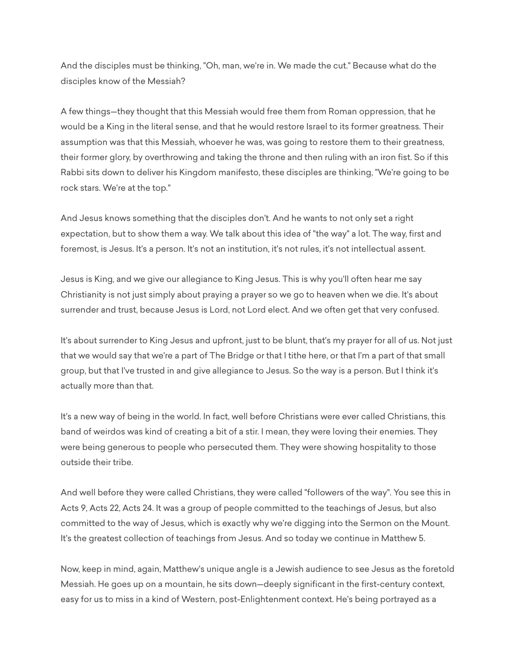And the disciples must be thinking, "Oh, man, we're in. We made the cut." Because what do the disciples know of the Messiah?

A few things—they thought that this Messiah would free them from Roman oppression, that he would be a King in the literal sense, and that he would restore Israel to its former greatness. Their assumption was that this Messiah, whoever he was, was going to restore them to their greatness, their former glory, by overthrowing and taking the throne and then ruling with an iron fist. So if this Rabbi sits down to deliver his Kingdom manifesto, these disciples are thinking, "We're going to be rock stars. We're at the top."

And Jesus knows something that the disciples don't. And he wants to not only set a right expectation, but to show them a way. We talk about this idea of "the way" a lot. The way, first and foremost, is Jesus. It's a person. It's not an institution, it's not rules, it's not intellectual assent.

Jesus is King, and we give our allegiance to King Jesus. This is why you'll often hear me say Christianity is not just simply about praying a prayer so we go to heaven when we die. It's about surrender and trust, because Jesus is Lord, not Lord elect. And we often get that very confused.

It's about surrender to King Jesus and upfront, just to be blunt, that's my prayer for all of us. Not just that we would say that we're a part of The Bridge or that I tithe here, or that I'm a part of that small group, but that I've trusted in and give allegiance to Jesus. So the way is a person. But I think it's actually more than that.

It's a new way of being in the world. In fact, well before Christians were ever called Christians, this band of weirdos was kind of creating a bit of a stir. I mean, they were loving their enemies. They were being generous to people who persecuted them. They were showing hospitality to those outside their tribe.

And well before they were called Christians, they were called "followers of the way". You see this in Acts 9, Acts 22, Acts 24. It was a group of people committed to the teachings of Jesus, but also committed to the way of Jesus, which is exactly why we're digging into the Sermon on the Mount. It's the greatest collection of teachings from Jesus. And so today we continue in Matthew 5.

Now, keep in mind, again, Matthew's unique angle is a Jewish audience to see Jesus as the foretold Messiah. He goes up on a mountain, he sits down—deeply significant in the first-century context, easy for us to miss in a kind of Western, post-Enlightenment context. He's being portrayed as a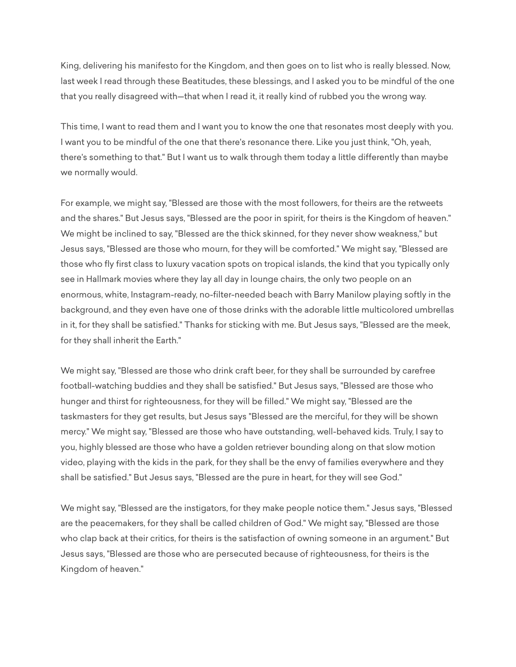King, delivering his manifesto for the Kingdom, and then goes on to list who is really blessed. Now, last week I read through these Beatitudes, these blessings, and I asked you to be mindful of the one that you really disagreed with—that when I read it, it really kind of rubbed you the wrong way.

This time, I want to read them and I want you to know the one that resonates most deeply with you. I want you to be mindful of the one that there's resonance there. Like you just think, "Oh, yeah, there's something to that." But I want us to walk through them today a little differently than maybe we normally would.

For example, we might say, "Blessed are those with the most followers, for theirs are the retweets and the shares." But Jesus says, "Blessed are the poor in spirit, for theirs is the Kingdom of heaven." We might be inclined to say, "Blessed are the thick skinned, for they never show weakness," but Jesus says, "Blessed are those who mourn, for they will be comforted." We might say, "Blessed are those who fly first class to luxury vacation spots on tropical islands, the kind that you typically only see in Hallmark movies where they lay all day in lounge chairs, the only two people on an enormous, white, Instagram-ready, no-filter-needed beach with Barry Manilow playing softly in the background, and they even have one of those drinks with the adorable little multicolored umbrellas in it, for they shall be satisfied." Thanks for sticking with me. But Jesus says, "Blessed are the meek, for they shall inherit the Earth."

We might say, "Blessed are those who drink craft beer, for they shall be surrounded by carefree football-watching buddies and they shall be satisfied." But Jesus says, "Blessed are those who hunger and thirst for righteousness, for they will be filled." We might say, "Blessed are the taskmasters for they get results, but Jesus says "Blessed are the merciful, for they will be shown mercy." We might say, "Blessed are those who have outstanding, well-behaved kids. Truly, I say to you, highly blessed are those who have a golden retriever bounding along on that slow motion video, playing with the kids in the park, for they shall be the envy of families everywhere and they shall be satisfied." But Jesus says, "Blessed are the pure in heart, for they will see God."

We might say, "Blessed are the instigators, for they make people notice them." Jesus says, "Blessed are the peacemakers, for they shall be called children of God." We might say, "Blessed are those who clap back at their critics, for theirs is the satisfaction of owning someone in an argument." But Jesus says, "Blessed are those who are persecuted because of righteousness, for theirs is the Kingdom of heaven."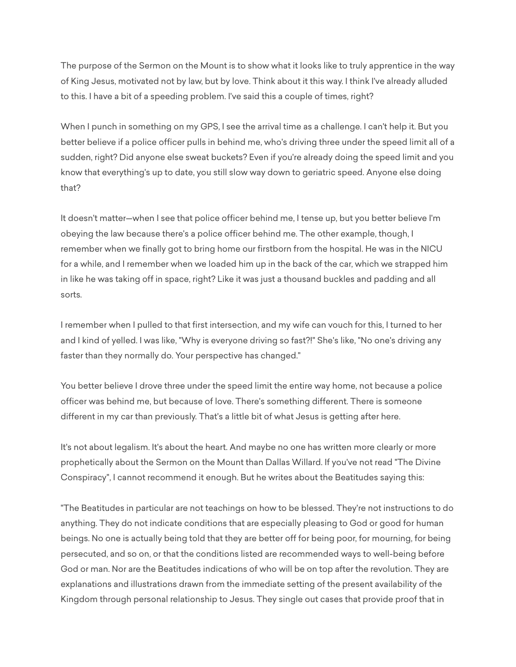The purpose of the Sermon on the Mount is to show what it looks like to truly apprentice in the way of King Jesus, motivated not by law, but by love. Think about it this way. I think I've already alluded to this. I have a bit of a speeding problem. I've said this a couple of times, right?

When I punch in something on my GPS, I see the arrival time as a challenge. I can't help it. But you better believe if a police officer pulls in behind me, who's driving three under the speed limit all of a sudden, right? Did anyone else sweat buckets? Even if you're already doing the speed limit and you know that everything's up to date, you still slow way down to geriatric speed. Anyone else doing that?

It doesn't matter—when I see that police officer behind me, I tense up, but you better believe I'm obeying the law because there's a police officer behind me. The other example, though, I remember when we finally got to bring home our firstborn from the hospital. He was in the NICU for a while, and I remember when we loaded him up in the back of the car, which we strapped him in like he was taking off in space, right? Like it was just a thousand buckles and padding and all sorts.

I remember when I pulled to that first intersection, and my wife can vouch for this, I turned to her and I kind of yelled. I was like, "Why is everyone driving so fast?!" She's like, "No one's driving any faster than they normally do. Your perspective has changed."

You better believe I drove three under the speed limit the entire way home, not because a police officer was behind me, but because of love. There's something different. There is someone different in my car than previously. That's a little bit of what Jesus is getting after here.

It's not about legalism. It's about the heart. And maybe no one has written more clearly or more prophetically about the Sermon on the Mount than Dallas Willard. If you've not read "The Divine Conspiracy", I cannot recommend it enough. But he writes about the Beatitudes saying this:

"The Beatitudes in particular are not teachings on how to be blessed. They're not instructions to do anything. They do not indicate conditions that are especially pleasing to God or good for human beings. No one is actually being told that they are better off for being poor, for mourning, for being persecuted, and so on, or that the conditions listed are recommended ways to well-being before God or man. Nor are the Beatitudes indications of who will be on top after the revolution. They are explanations and illustrations drawn from the immediate setting of the present availability of the Kingdom through personal relationship to Jesus. They single out cases that provide proof that in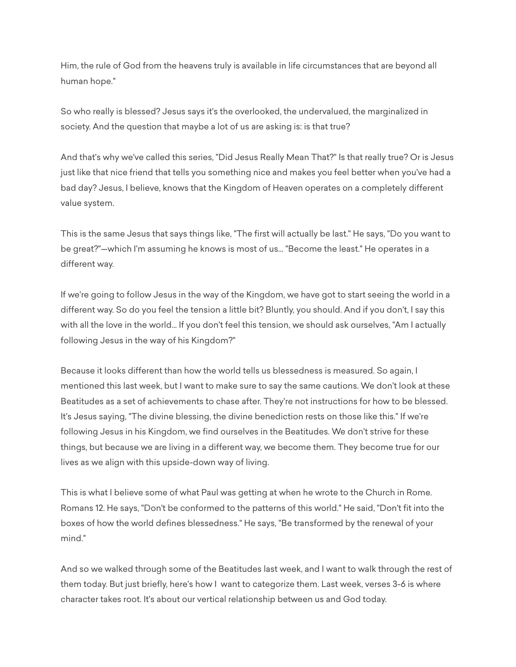Him, the rule of God from the heavens truly is available in life circumstances that are beyond all human hope."

So who really is blessed? Jesus says it's the overlooked, the undervalued, the marginalized in society. And the question that maybe a lot of us are asking is: is that true?

And that's why we've called this series, "Did Jesus Really Mean That?" Is that really true? Or is Jesus just like that nice friend that tells you something nice and makes you feel better when you've had a bad day? Jesus, I believe, knows that the Kingdom of Heaven operates on a completely different value system.

This is the same Jesus that says things like, "The first will actually be last." He says, "Do you want to be great?"—which I'm assuming he knows is most of us... "Become the least." He operates in a different way.

If we're going to follow Jesus in the way of the Kingdom, we have got to start seeing the world in a different way. So do you feel the tension a little bit? Bluntly, you should. And if you don't, I say this with all the love in the world... If you don't feel this tension, we should ask ourselves, "Am I actually following Jesus in the way of his Kingdom?"

Because it looks different than how the world tells us blessedness is measured. So again, I mentioned this last week, but I want to make sure to say the same cautions. We don't look at these Beatitudes as a set of achievements to chase after. They're not instructions for how to be blessed. It's Jesus saying, "The divine blessing, the divine benediction rests on those like this." If we're following Jesus in his Kingdom, we find ourselves in the Beatitudes. We don't strive for these things, but because we are living in a different way, we become them. They become true for our lives as we align with this upside-down way of living.

This is what I believe some of what Paul was getting at when he wrote to the Church in Rome. Romans 12. He says, "Don't be conformed to the patterns of this world." He said, "Don't fit into the boxes of how the world defines blessedness." He says, "Be transformed by the renewal of your mind."

And so we walked through some of the Beatitudes last week, and I want to walk through the rest of them today. But just briefly, here's how I want to categorize them. Last week, verses 3-6 is where character takes root. It's about our vertical relationship between us and God today.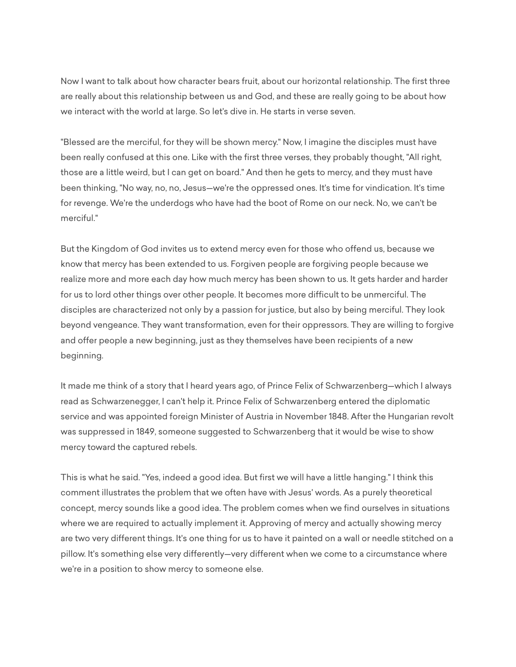Now I want to talk about how character bears fruit, about our horizontal relationship. The first three are really about this relationship between us and God, and these are really going to be about how we interact with the world at large. So let's dive in. He starts in verse seven.

"Blessed are the merciful, for they will be shown mercy." Now, I imagine the disciples must have been really confused at this one. Like with the first three verses, they probably thought, "All right, those are a little weird, but I can get on board." And then he gets to mercy, and they must have been thinking, "No way, no, no, Jesus—we're the oppressed ones. It's time for vindication. It's time for revenge. We're the underdogs who have had the boot of Rome on our neck. No, we can't be merciful."

But the Kingdom of God invites us to extend mercy even for those who offend us, because we know that mercy has been extended to us. Forgiven people are forgiving people because we realize more and more each day how much mercy has been shown to us. It gets harder and harder for us to lord other things over other people. It becomes more difficult to be unmerciful. The disciples are characterized not only by a passion for justice, but also by being merciful. They look beyond vengeance. They want transformation, even for their oppressors. They are willing to forgive and offer people a new beginning, just as they themselves have been recipients of a new beginning.

It made me think of a story that I heard years ago, of Prince Felix of Schwarzenberg—which I always read as Schwarzenegger, I can't help it. Prince Felix of Schwarzenberg entered the diplomatic service and was appointed foreign Minister of Austria in November 1848. After the Hungarian revolt was suppressed in 1849, someone suggested to Schwarzenberg that it would be wise to show mercy toward the captured rebels.

This is what he said. "Yes, indeed a good idea. But first we will have a little hanging." I think this comment illustrates the problem that we often have with Jesus' words. As a purely theoretical concept, mercy sounds like a good idea. The problem comes when we find ourselves in situations where we are required to actually implement it. Approving of mercy and actually showing mercy are two very different things. It's one thing for us to have it painted on a wall or needle stitched on a pillow. It's something else very differently—very different when we come to a circumstance where we're in a position to show mercy to someone else.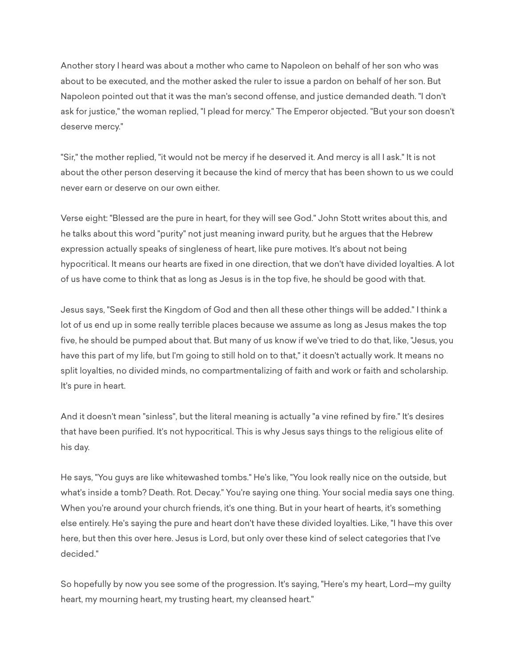Another story I heard was about a mother who came to Napoleon on behalf of her son who was about to be executed, and the mother asked the ruler to issue a pardon on behalf of her son. But Napoleon pointed out that it was the man's second offense, and justice demanded death. "I don't ask for justice," the woman replied, "I plead for mercy." The Emperor objected. "But your son doesn't deserve mercy."

"Sir," the mother replied, "it would not be mercy if he deserved it. And mercy is all I ask." It is not about the other person deserving it because the kind of mercy that has been shown to us we could never earn or deserve on our own either.

Verse eight: "Blessed are the pure in heart, for they will see God." John Stott writes about this, and he talks about this word "purity" not just meaning inward purity, but he argues that the Hebrew expression actually speaks of singleness of heart, like pure motives. It's about not being hypocritical. It means our hearts are fixed in one direction, that we don't have divided loyalties. A lot of us have come to think that as long as Jesus is in the top five, he should be good with that.

Jesus says, "Seek first the Kingdom of God and then all these other things will be added." I think a lot of us end up in some really terrible places because we assume as long as Jesus makes the top five, he should be pumped about that. But many of us know if we've tried to do that, like, "Jesus, you have this part of my life, but I'm going to still hold on to that," it doesn't actually work. It means no split loyalties, no divided minds, no compartmentalizing of faith and work or faith and scholarship. It's pure in heart.

And it doesn't mean "sinless", but the literal meaning is actually "a vine refined by fire." It's desires that have been purified. It's not hypocritical. This is why Jesus says things to the religious elite of his day.

He says, "You guys are like whitewashed tombs." He's like, "You look really nice on the outside, but what's inside a tomb? Death. Rot. Decay." You're saying one thing. Your social media says one thing. When you're around your church friends, it's one thing. But in your heart of hearts, it's something else entirely. He's saying the pure and heart don't have these divided loyalties. Like, "I have this over here, but then this over here. Jesus is Lord, but only over these kind of select categories that I've decided."

So hopefully by now you see some of the progression. It's saying, "Here's my heart, Lord—my guilty heart, my mourning heart, my trusting heart, my cleansed heart."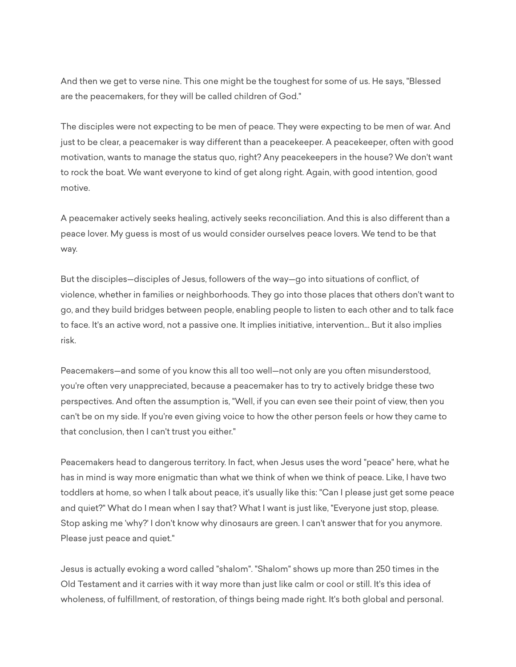And then we get to verse nine. This one might be the toughest for some of us. He says, "Blessed are the peacemakers, for they will be called children of God."

The disciples were not expecting to be men of peace. They were expecting to be men of war. And just to be clear, a peacemaker is way different than a peacekeeper. A peacekeeper, often with good motivation, wants to manage the status quo, right? Any peacekeepers in the house? We don't want to rock the boat. We want everyone to kind of get along right. Again, with good intention, good motive.

A peacemaker actively seeks healing, actively seeks reconciliation. And this is also different than a peace lover. My guess is most of us would consider ourselves peace lovers. We tend to be that way.

But the disciples—disciples of Jesus, followers of the way—go into situations of conflict, of violence, whether in families or neighborhoods. They go into those places that others don't want to go, and they build bridges between people, enabling people to listen to each other and to talk face to face. It's an active word, not a passive one. It implies initiative, intervention... But it also implies risk.

Peacemakers—and some of you know this all too well—not only are you often misunderstood, you're often very unappreciated, because a peacemaker has to try to actively bridge these two perspectives. And often the assumption is, "Well, if you can even see their point of view, then you can't be on my side. If you're even giving voice to how the other person feels or how they came to that conclusion, then I can't trust you either."

Peacemakers head to dangerous territory. In fact, when Jesus uses the word "peace" here, what he has in mind is way more enigmatic than what we think of when we think of peace. Like, I have two toddlers at home, so when I talk about peace, it's usually like this: "Can I please just get some peace and quiet?" What do I mean when I say that? What I want is just like, "Everyone just stop, please. Stop asking me 'why?' I don't know why dinosaurs are green. I can't answer that for you anymore. Please just peace and quiet."

Jesus is actually evoking a word called "shalom". "Shalom" shows up more than 250 times in the Old Testament and it carries with it way more than just like calm or cool or still. It's this idea of wholeness, of fulfillment, of restoration, of things being made right. It's both global and personal.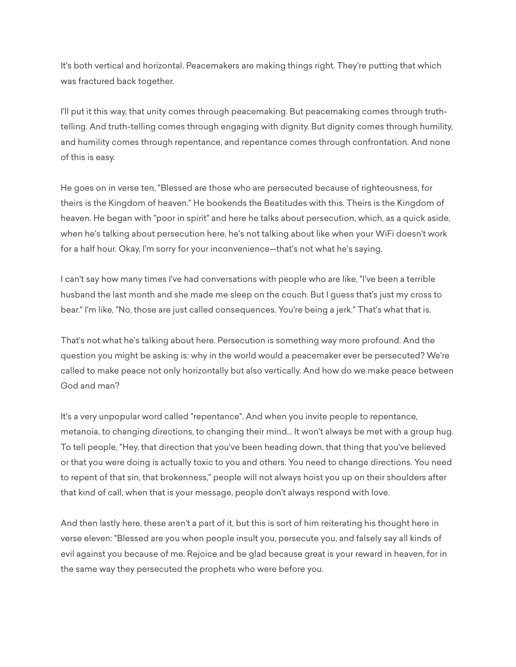It's both vertical and horizontal. Peacemakers are making things right. They're putting that which was fractured back together.

I'll put it this way, that unity comes through peacemaking. But peacemaking comes through truthtelling. And truth-telling comes through engaging with dignity. But dignity comes through humility, and humility comes through repentance, and repentance comes through confrontation. And none of this is easy.

He goes on in verse ten, "Blessed are those who are persecuted because of righteousness, for theirs is the Kingdom of heaven." He bookends the Beatitudes with this. Theirs is the Kingdom of heaven. He began with "poor in spirit" and here he talks about persecution, which, as a quick aside, when he's talking about persecution here, he's not talking about like when your WiFi doesn't work for a half hour. Okay, I'm sorry for your inconvenience—that's not what he's saying.

I can't say how many times I've had conversations with people who are like, "I've been a terrible husband the last month and she made me sleep on the couch. But I guess that's just my cross to bear." I'm like, "No, those are just called consequences. You're being a jerk." That's what that is.

That's not what he's talking about here. Persecution is something way more profound. And the question you might be asking is: why in the world would a peacemaker ever be persecuted? We're called to make peace not only horizontally but also vertically. And how do we make peace between God and man?

It's a very unpopular word called "repentance". And when you invite people to repentance, metanoia, to changing directions, to changing their mind... It won't always be met with a group hug. To tell people, "Hey, that direction that you've been heading down, that thing that you've believed or that you were doing is actually toxic to you and others. You need to change directions. You need to repent of that sin, that brokenness," people will not always hoist you up on their shoulders after that kind of call, when that is your message, people don't always respond with love.

And then lastly here, these aren't a part of it, but this is sort of him reiterating his thought here in verse eleven: "Blessed are you when people insult you, persecute you, and falsely say all kinds of evil against you because of me. Rejoice and be glad because great is your reward in heaven, for in the same way they persecuted the prophets who were before you.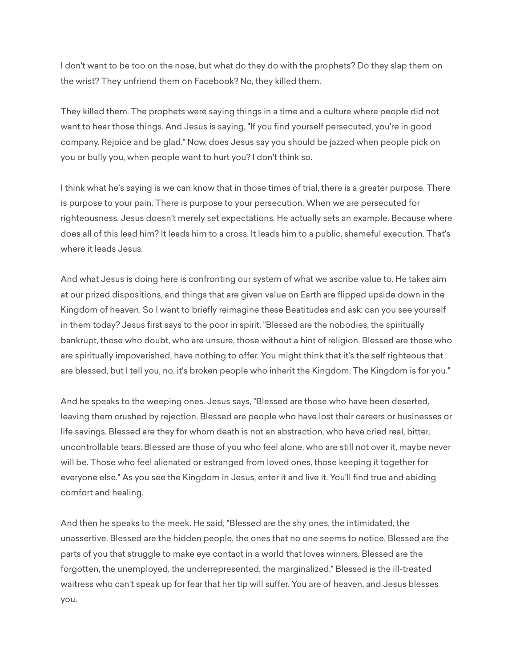I don't want to be too on the nose, but what do they do with the prophets? Do they slap them on the wrist? They unfriend them on Facebook? No, they killed them.

They killed them. The prophets were saying things in a time and a culture where people did not want to hear those things. And Jesus is saying, "If you find yourself persecuted, you're in good company. Rejoice and be glad." Now, does Jesus say you should be jazzed when people pick on you or bully you, when people want to hurt you? I don't think so.

I think what he's saying is we can know that in those times of trial, there is a greater purpose. There is purpose to your pain. There is purpose to your persecution. When we are persecuted for righteousness, Jesus doesn't merely set expectations. He actually sets an example. Because where does all of this lead him? It leads him to a cross. It leads him to a public, shameful execution. That's where it leads Jesus.

And what Jesus is doing here is confronting our system of what we ascribe value to. He takes aim at our prized dispositions, and things that are given value on Earth are flipped upside down in the Kingdom of heaven. So I want to briefly reimagine these Beatitudes and ask: can you see yourself in them today? Jesus first says to the poor in spirit, "Blessed are the nobodies, the spiritually bankrupt, those who doubt, who are unsure, those without a hint of religion. Blessed are those who are spiritually impoverished, have nothing to offer. You might think that it's the self righteous that are blessed, but I tell you, no, it's broken people who inherit the Kingdom. The Kingdom is for you."

And he speaks to the weeping ones. Jesus says, "Blessed are those who have been deserted, leaving them crushed by rejection. Blessed are people who have lost their careers or businesses or life savings. Blessed are they for whom death is not an abstraction, who have cried real, bitter, uncontrollable tears. Blessed are those of you who feel alone, who are still not over it, maybe never will be. Those who feel alienated or estranged from loved ones, those keeping it together for everyone else." As you see the Kingdom in Jesus, enter it and live it. You'll find true and abiding comfort and healing.

And then he speaks to the meek. He said, "Blessed are the shy ones, the intimidated, the unassertive. Blessed are the hidden people, the ones that no one seems to notice. Blessed are the parts of you that struggle to make eye contact in a world that loves winners. Blessed are the forgotten, the unemployed, the underrepresented, the marginalized." Blessed is the ill-treated waitress who can't speak up for fear that her tip will suffer. You are of heaven, and Jesus blesses you.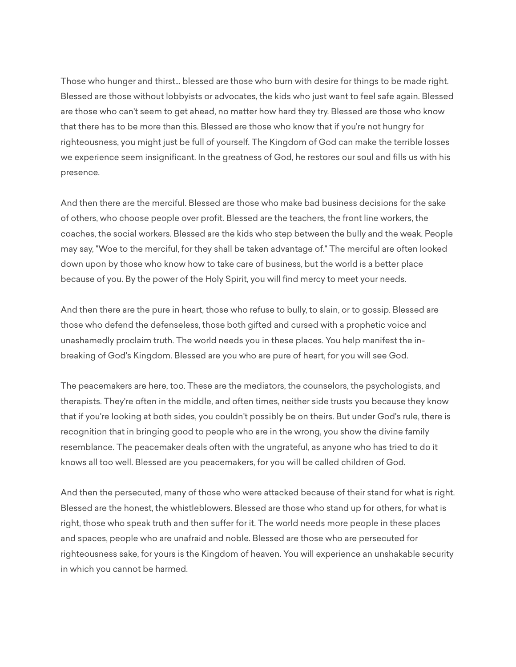Those who hunger and thirst... blessed are those who burn with desire for things to be made right. Blessed are those without lobbyists or advocates, the kids who just want to feel safe again. Blessed are those who can't seem to get ahead, no matter how hard they try. Blessed are those who know that there has to be more than this. Blessed are those who know that if you're not hungry for righteousness, you might just be full of yourself. The Kingdom of God can make the terrible losses we experience seem insignificant. In the greatness of God, he restores our soul and fills us with his presence.

And then there are the merciful. Blessed are those who make bad business decisions for the sake of others, who choose people over profit. Blessed are the teachers, the front line workers, the coaches, the social workers. Blessed are the kids who step between the bully and the weak. People may say, "Woe to the merciful, for they shall be taken advantage of." The merciful are often looked down upon by those who know how to take care of business, but the world is a better place because of you. By the power of the Holy Spirit, you will find mercy to meet your needs.

And then there are the pure in heart, those who refuse to bully, to slain, or to gossip. Blessed are those who defend the defenseless, those both gifted and cursed with a prophetic voice and unashamedly proclaim truth. The world needs you in these places. You help manifest the inbreaking of God's Kingdom. Blessed are you who are pure of heart, for you will see God.

The peacemakers are here, too. These are the mediators, the counselors, the psychologists, and therapists. They're often in the middle, and often times, neither side trusts you because they know that if you're looking at both sides, you couldn't possibly be on theirs. But under God's rule, there is recognition that in bringing good to people who are in the wrong, you show the divine family resemblance. The peacemaker deals often with the ungrateful, as anyone who has tried to do it knows all too well. Blessed are you peacemakers, for you will be called children of God.

And then the persecuted, many of those who were attacked because of their stand for what is right. Blessed are the honest, the whistleblowers. Blessed are those who stand up for others, for what is right, those who speak truth and then suffer for it. The world needs more people in these places and spaces, people who are unafraid and noble. Blessed are those who are persecuted for righteousness sake, for yours is the Kingdom of heaven. You will experience an unshakable security in which you cannot be harmed.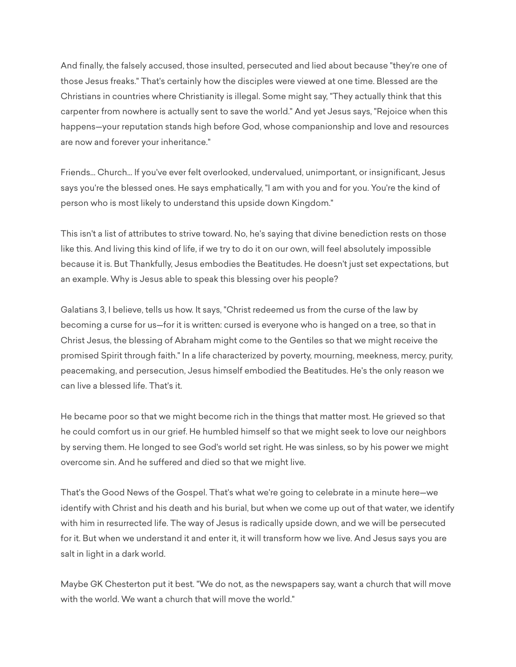And finally, the falsely accused, those insulted, persecuted and lied about because "they're one of those Jesus freaks." That's certainly how the disciples were viewed at one time. Blessed are the Christians in countries where Christianity is illegal. Some might say, "They actually think that this carpenter from nowhere is actually sent to save the world." And yet Jesus says, "Rejoice when this happens—your reputation stands high before God, whose companionship and love and resources are now and forever your inheritance."

Friends... Church... If you've ever felt overlooked, undervalued, unimportant, or insignificant, Jesus says you're the blessed ones. He says emphatically, "I am with you and for you. You're the kind of person who is most likely to understand this upside down Kingdom."

This isn't a list of attributes to strive toward. No, he's saying that divine benediction rests on those like this. And living this kind of life, if we try to do it on our own, will feel absolutely impossible because it is. But Thankfully, Jesus embodies the Beatitudes. He doesn't just set expectations, but an example. Why is Jesus able to speak this blessing over his people?

Galatians 3, I believe, tells us how. It says, "Christ redeemed us from the curse of the law by becoming a curse for us—for it is written: cursed is everyone who is hanged on a tree, so that in Christ Jesus, the blessing of Abraham might come to the Gentiles so that we might receive the promised Spirit through faith." In a life characterized by poverty, mourning, meekness, mercy, purity, peacemaking, and persecution, Jesus himself embodied the Beatitudes. He's the only reason we can live a blessed life. That's it.

He became poor so that we might become rich in the things that matter most. He grieved so that he could comfort us in our grief. He humbled himself so that we might seek to love our neighbors by serving them. He longed to see God's world set right. He was sinless, so by his power we might overcome sin. And he suffered and died so that we might live.

That's the Good News of the Gospel. That's what we're going to celebrate in a minute here—we identify with Christ and his death and his burial, but when we come up out of that water, we identify with him in resurrected life. The way of Jesus is radically upside down, and we will be persecuted for it. But when we understand it and enter it, it will transform how we live. And Jesus says you are salt in light in a dark world.

Maybe GK Chesterton put it best. "We do not, as the newspapers say, want a church that will move with the world. We want a church that will move the world."